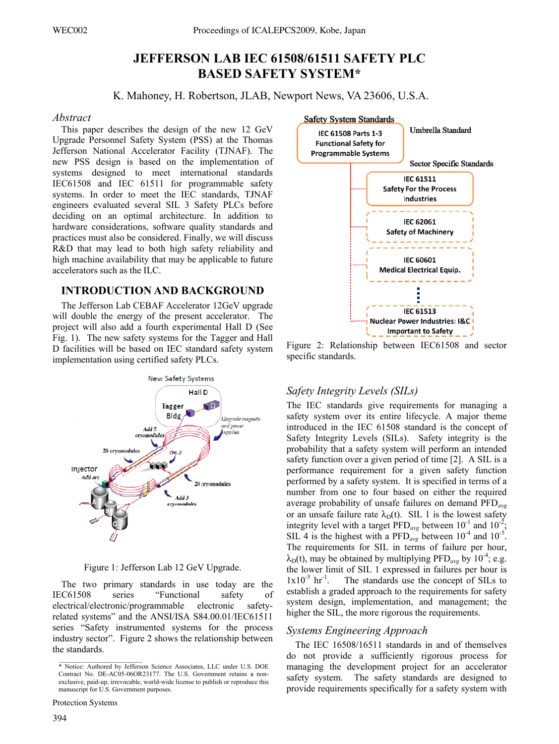# **JEFFERSON LAB IEC 61508/61511 SAFETY PLC BASED SAFETY SYSTEM\***

K. Mahoney, H. Robertson, JLAB, Newport News, VA 23606, U.S.A.

## Abstract

This paper describes the design of the new 12 GeV Upgrade Personnel Safety System (PSS) at the Thomas Jefferson National Accelerator Facility (TJNAF). The new PSS design is based on the implementation of systems designed to meet international standards IEC61508 and IEC 61511 for programmable safety systems. In order to meet the IEC standards, TJNAF engineers evaluated several SIL 3 Safety PLCs before deciding on an optimal architecture. In addition to hardware considerations, software quality standards and practices must also be considered. Finally, we will discuss R&D that may lead to both high safety reliability and high machine availability that may be applicable to future accelerators such as the ILC.

## **INTRODUCTION AND BACKGROUND**

The Jefferson Lab CEBAF Accelerator 12GeV upgrade will double the energy of the present accelerator. The project will also add a fourth experimental Hall D (See Fig. 1). The new safety systems for the Tagger and Hall D facilities will be based on IEC standard safety system implementation using certified safety PLCs.



Figure 1: Jefferson Lab 12 GeV Upgrade.

The two primary standards in use today are the **IEC61508** series "Functional safety of electronic electrical/electronic/programmable safetyrelated systems" and the ANSI/ISA S84.00.01/IEC61511 series "Safety instrumented systems for the process industry sector". Figure 2 shows the relationship between the standards.



Figure 2: Relationship between IEC61508 and sector specific standards.

## Safety Integrity Levels (SILs)

The IEC standards give requirements for managing a safety system over its entire lifecycle. A major theme introduced in the IEC 61508 standard is the concept of Safety Integrity Levels (SILs). Safety integrity is the probability that a safety system will perform an intended safety function over a given period of time [2]. A SIL is a performance requirement for a given safety function performed by a safety system. It is specified in terms of a number from one to four based on either the required average probability of unsafe failures on demand  $\text{PFD}_{avg}$ or an unsafe failure rate  $\lambda_{D}(t)$ . SIL 1 is the lowest safety integrity level with a target  $\widehat{PFD}_{avg}$  between  $10^{-1}$  and  $10^{-2}$ . SIL 4 is the highest with a PFD<sub>avg</sub> between  $10^{-4}$  and  $10^{-5}$ . The requirements for SIL in terms of failure per hour,  $\lambda_{D}(t)$ , may be obtained by multiplying PFD<sub>*avg*</sub> by 10<sup>-4</sup>; e.g. the lower limit of SIL 1 expressed in failures per hour is  $1x10^{-5}$  hr<sup>-1</sup>. The standards use the concept of SILs to establish a graded approach to the requirements for safety system design, implementation, and management; the higher the SIL, the more rigorous the requirements.

## **Systems Engineering Approach**

The IEC 16508/16511 standards in and of themselves do not provide a sufficiently rigorous process for managing the development project for an accelerator safety system. The safety standards are designed to provide requirements specifically for a safety system with

<sup>\*</sup> Notice: Authored by Jefferson Science Associates, LLC under U.S. DOE Contract No. DE-AC05-06OR23177. The U.S. Government retains a nonexclusive, paid-up, irrevocable, world-wide license to publish or reproduce this manuscript for U.S. Government purposes.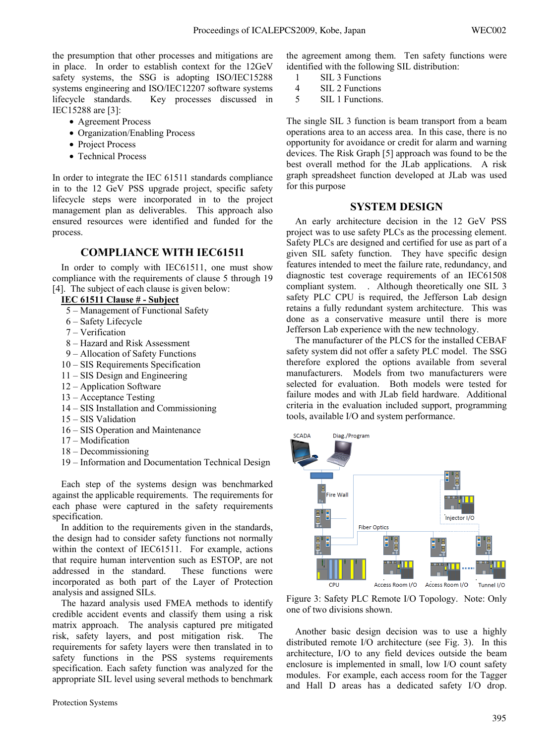the presumption that other processes and mitigations are in place. In order to establish context for the 12GeV safety systems, the SSG is adopting ISO/IEC15288 systems engineering and ISO/IEC12207 software systems lifecycle standards. Key processes discussed in IEC15288 are [3]:

• Agreement Process

- Organization/Enabling Process
- Project Process
- Technical Process

In order to integrate the IEC 61511 standards compliance in to the 12 GeV PSS upgrade project, specific safety lifecycle steps were incorporated in to the project management plan as deliverables. This approach also ensured resources were identified and funded for the process.

### **COMPLIANCE WITH IEC61511**

In order to comply with IEC61511, one must show compliance with the requirements of clause 5 through 19 [4]. The subject of each clause is given below:

#### **IEC 61511 Clause # - Subject**

- 5 Management of Functional Safety
- 6 Safety Lifecycle
- 7 Verification
- 8 Hazard and Risk Assessment
- 9 Allocation of Safety Functions
- 10 SIS Requirements Specification
- 11 SIS Design and Engineering
- 12 Application Software
- 13 Acceptance Testing
- 14 SIS Installation and Commissioning
- 15 SIS Validation
- 16 SIS Operation and Maintenance
- 17 Modification
- 18 Decommissioning
- 19 Information and Documentation Technical Design

Each step of the systems design was benchmarked against the applicable requirements. The requirements for each phase were captured in the safety requirements specification.

In addition to the requirements given in the standards, the design had to consider safety functions not normally within the context of IEC61511. For example, actions that require human intervention such as ESTOP, are not addressed in the standard. These functions were incorporated as both part of the Layer of Protection analysis and assigned SILs.

The hazard analysis used FMEA methods to identify credible accident events and classify them using a risk matrix approach. The analysis captured pre mitigated risk, safety layers, and post mitigation risk. The requirements for safety layers were then translated in to safety functions in the PSS systems requirements specification. Each safety function was analyzed for the appropriate SIL level using several methods to benchmark the agreement among them. Ten safety functions were identified with the following SIL distribution:

- 1 SIL 3 Functions<br>4 SIL 2 Functions
- SIL 2 Functions
- 5 SIL 1 Functions.

The single SIL 3 function is beam transport from a beam operations area to an access area. In this case, there is no opportunity for avoidance or credit for alarm and warning devices. The Risk Graph [5] approach was found to be the best overall method for the JLab applications. A risk graph spreadsheet function developed at JLab was used for this purpose

#### **SYSTEM DESIGN**

An early architecture decision in the 12 GeV PSS project was to use safety PLCs as the processing element. Safety PLCs are designed and certified for use as part of a given SIL safety function. They have specific design features intended to meet the failure rate, redundancy, and diagnostic test coverage requirements of an IEC61508 compliant system. . Although theoretically one SIL 3 safety PLC CPU is required, the Jefferson Lab design retains a fully redundant system architecture. This was done as a conservative measure until there is more Jefferson Lab experience with the new technology.

The manufacturer of the PLCS for the installed CEBAF safety system did not offer a safety PLC model. The SSG therefore explored the options available from several manufacturers. Models from two manufacturers were selected for evaluation. Both models were tested for failure modes and with JLab field hardware. Additional criteria in the evaluation included support, programming tools, available I/O and system performance.



Figure 3: Safety PLC Remote I/O Topology. Note: Only one of two divisions shown.

Another basic design decision was to use a highly distributed remote I/O architecture (see Fig. 3). In this architecture, I/O to any field devices outside the beam enclosure is implemented in small, low I/O count safety modules. For example, each access room for the Tagger and Hall D areas has a dedicated safety I/O drop.